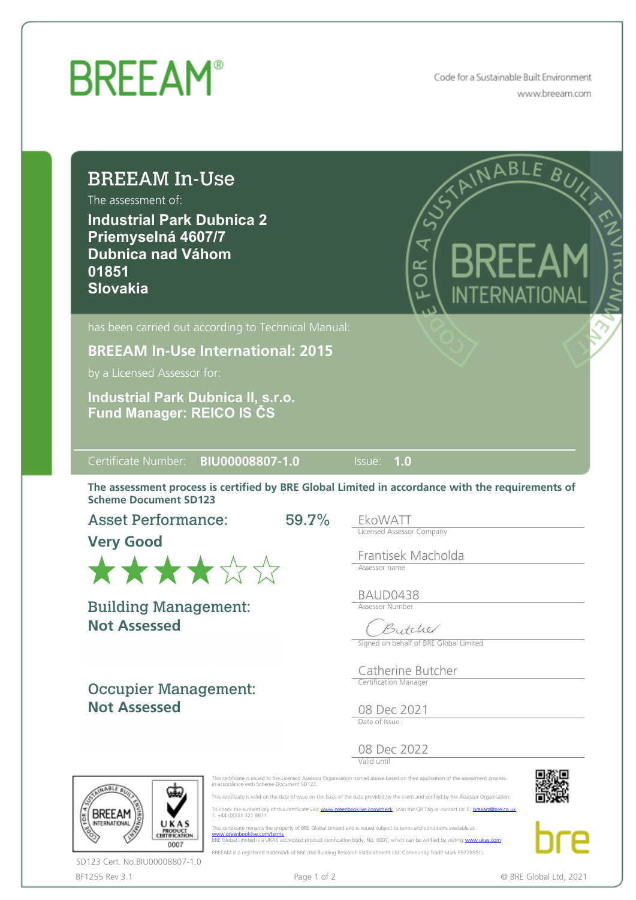## **BREEAM®**

Code for a Sustainable Built Environment www.breeam.com

| <b>BREEAM In-Use</b><br>The assessment of:<br><b>Industrial Park Dubnica 2</b><br>Priemyselná 4607/7<br><b>Dubnica nad Váhom</b><br>01851<br><b>Slovakia</b> | STAINABLE BUI<br>$\overline{\mathbf{X}}$<br>$\approx$<br>INTERNATIONA                                        |
|--------------------------------------------------------------------------------------------------------------------------------------------------------------|--------------------------------------------------------------------------------------------------------------|
| has been carried out according to Technical Manual:<br><b>BREEAM In-Use International: 2015</b><br>by a Licensed Assessor for:                               |                                                                                                              |
| Industrial Park Dubnica II, s.r.o.<br><b>Fund Manager: REICO IS CS</b>                                                                                       |                                                                                                              |
|                                                                                                                                                              |                                                                                                              |
| Certificate Number: BIU00008807-1.0<br>The assessment process is certified by BRE Global Limited in accordance with the requirements of                      | <b>Issue: 1.0</b>                                                                                            |
| <b>Scheme Document SD123</b><br>59.7%<br><b>Asset Performance:</b><br><b>Very Good</b><br>******                                                             | EkoWATT<br><b>Licensed Assessor Company</b><br>Frantisek Macholda<br>Assessor name                           |
| <b>Building Management:</b><br><b>Not Assessed</b>                                                                                                           | BAUD0438<br><b>Assessor Number</b><br>Butcher<br>Signed on behalf of BRE Global Limited<br>Catherine Butcher |

This certificate is issued to the Licensed Assessor Organisation named above based on their application of the assessment process::<br>in accordance with Scheme Document SD123.

 This certificate is valid on the date of issue on the basis of the data provided by the client and verified by the Assessor Organisation. To check the authenticity of this certificate visit [www.greenbooklive.com/check](http://www.greenbooklive.com/check), scan the QR Tag or contact us: E: [breeam@bre.co.uk](mailto:breeam@bre.co.uk)<br>T. +44 (0)333 321 8811

This certificate remains the property of BRE Global Limited and is issued subject to terms and conditions available at:<br>[www.greenbooklive.com/terms](http://www.greenbooklive.com/terms)...<br>BRE Global Limited is a UKAS accredited product certification body, No. BREEAM is a registered trademark of BRE (the Building Research Establishment Ltd. Community Trade Mark E5778551).



hre



BF1255 Rev 3.1 **Page 1 of 2** Page 1 of 2 © BRE Global Ltd, 2021 SD123 Cert. No.BIU00008807-1.0